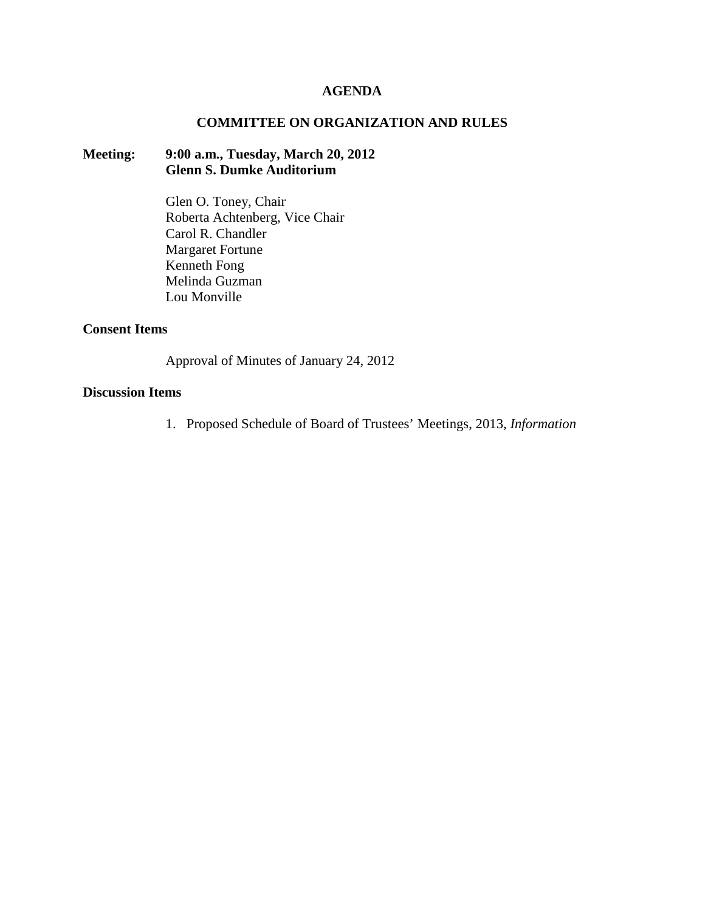### **AGENDA**

### **COMMITTEE ON ORGANIZATION AND RULES**

# **Meeting: 9:00 a.m., Tuesday, March 20, 2012 Glenn S. Dumke Auditorium**

Glen O. Toney, Chair Roberta Achtenberg, Vice Chair Carol R. Chandler Margaret Fortune Kenneth Fong Melinda Guzman Lou Monville

### **Consent Items**

Approval of Minutes of January 24, 2012

#### **Discussion Items**

1. Proposed Schedule of Board of Trustees' Meetings, 2013, *Information*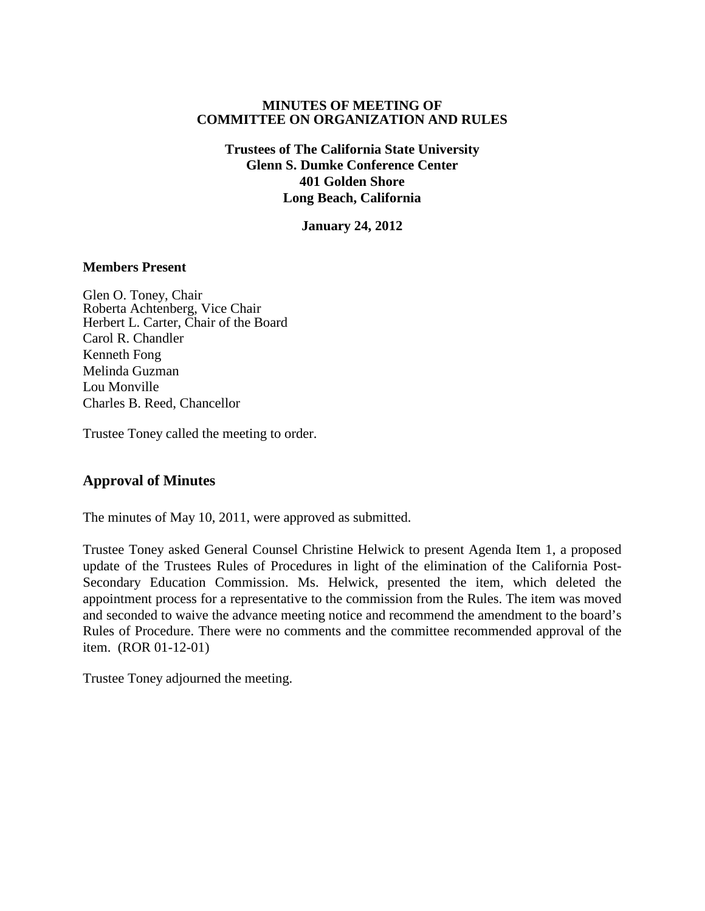### **MINUTES OF MEETING OF COMMITTEE ON ORGANIZATION AND RULES**

**Trustees of The California State University Glenn S. Dumke Conference Center 401 Golden Shore Long Beach, California**

**January 24, 2012**

#### **Members Present**

Glen O. Toney, Chair Roberta Achtenberg, Vice Chair Herbert L. Carter, Chair of the Board Carol R. Chandler Kenneth Fong Melinda Guzman Lou Monville Charles B. Reed, Chancellor

Trustee Toney called the meeting to order.

### **Approval of Minutes**

The minutes of May 10, 2011, were approved as submitted.

Trustee Toney asked General Counsel Christine Helwick to present Agenda Item 1, a proposed update of the Trustees Rules of Procedures in light of the elimination of the California Post-Secondary Education Commission. Ms. Helwick, presented the item, which deleted the appointment process for a representative to the commission from the Rules. The item was moved and seconded to waive the advance meeting notice and recommend the amendment to the board's Rules of Procedure. There were no comments and the committee recommended approval of the item. (ROR 01-12-01)

Trustee Toney adjourned the meeting.